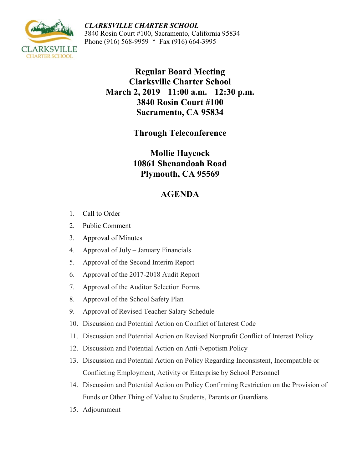*CLARKSVILLE CHARTER SCHOOL* 3840 Rosin Court #100, Sacramento, California 95834 Phone (916) 568-9959 \* Fax (916) 664-3995



**Regular Board Meeting Clarksville Charter School March 2, 2019** – **11:00 a.m.** – **12:30 p.m. 3840 Rosin Court #100 Sacramento, CA 95834**

**Through Teleconference**

**Mollie Haycock 10861 Shenandoah Road Plymouth, CA 95569**

## **AGENDA**

- 1. Call to Order
- 2. Public Comment
- 3. Approval of Minutes
- 4. Approval of July January Financials
- 5. Approval of the Second Interim Report
- 6. Approval of the 2017-2018 Audit Report
- 7. Approval of the Auditor Selection Forms
- 8. Approval of the School Safety Plan
- 9. Approval of Revised Teacher Salary Schedule
- 10. Discussion and Potential Action on Conflict of Interest Code
- 11. Discussion and Potential Action on Revised Nonprofit Conflict of Interest Policy
- 12. Discussion and Potential Action on Anti-Nepotism Policy
- 13. Discussion and Potential Action on Policy Regarding Inconsistent, Incompatible or Conflicting Employment, Activity or Enterprise by School Personnel
- 14. Discussion and Potential Action on Policy Confirming Restriction on the Provision of Funds or Other Thing of Value to Students, Parents or Guardians
- 15. Adjournment